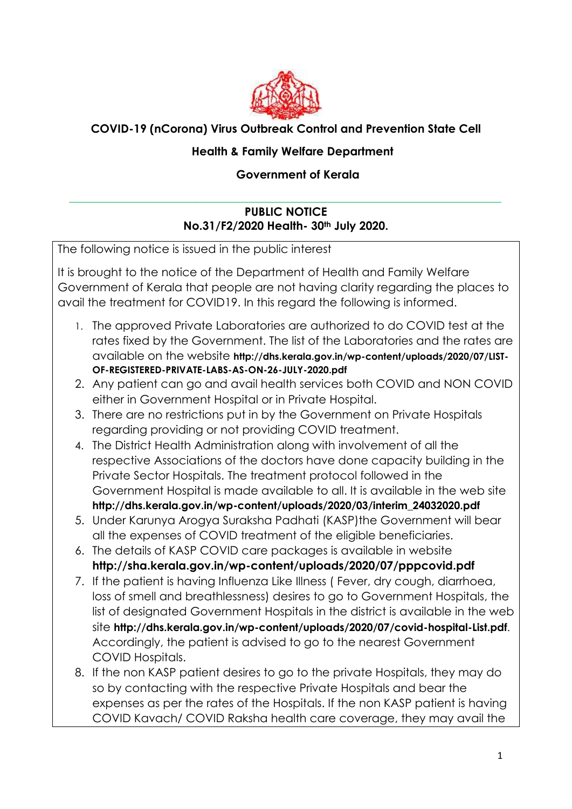

## **COVID-19 (nCorona) Virus Outbreak Control and Prevention State Cell**

## **Health & Family Welfare Department**

## **Government of Kerala**

## **PUBLIC NOTICE No.31/F2/2020 Health- 30th July 2020.**

\_\_\_\_\_\_\_\_\_\_\_\_\_\_\_\_\_\_\_\_\_\_\_\_\_\_\_\_\_\_\_\_\_\_\_\_\_\_\_\_\_\_\_\_\_\_\_\_\_\_\_\_\_\_\_\_\_\_\_\_\_\_\_\_\_\_\_\_\_\_\_\_\_\_\_

The following notice is issued in the public interest It is brought to the notice of the Department of Health and Family Welfare Government of Kerala that people are not having clarity regarding the places to avail the treatment for COVID19. In this regard the following is informed. 1. The approved Private Laboratories are authorized to do COVID test at the rates fixed by the Government. The list of the Laboratories and the rates are available on the website **http://dhs.kerala.gov.in/wp-content/uploads/2020/07/LIST-OF-REGISTERED-PRIVATE-LABS-AS-ON-26-JULY-2020.pdf** 2. Any patient can go and avail health services both COVID and NON COVID either in Government Hospital or in Private Hospital. 3. There are no restrictions put in by the Government on Private Hospitals regarding providing or not providing COVID treatment. 4. The District Health Administration along with involvement of all the respective Associations of the doctors have done capacity building in the Private Sector Hospitals. The treatment protocol followed in the Government Hospital is made available to all. It is available in the web site **http://dhs.kerala.gov.in/wp-content/uploads/2020/03/interim\_24032020.pdf** 5. Under Karunya Arogya Suraksha Padhati (KASP)the Government will bear all the expenses of COVID treatment of the eligible beneficiaries. 6. The details of KASP COVID care packages is available in website **http://sha.kerala.gov.in/wp-content/uploads/2020/07/pppcovid.pdf** 7. If the patient is having Influenza Like Illness ( Fever, dry cough, diarrhoea, loss of smell and breathlessness) desires to go to Government Hospitals, the list of designated Government Hospitals in the district is available in the web site **http://dhs.kerala.gov.in/wp-content/uploads/2020/07/covid-hospital-List.pdf**. Accordingly, the patient is advised to go to the nearest Government COVID Hospitals. 8. If the non KASP patient desires to go to the private Hospitals, they may do so by contacting with the respective Private Hospitals and bear the

expenses as per the rates of the Hospitals. If the non KASP patient is having COVID Kavach/ COVID Raksha health care coverage, they may avail the